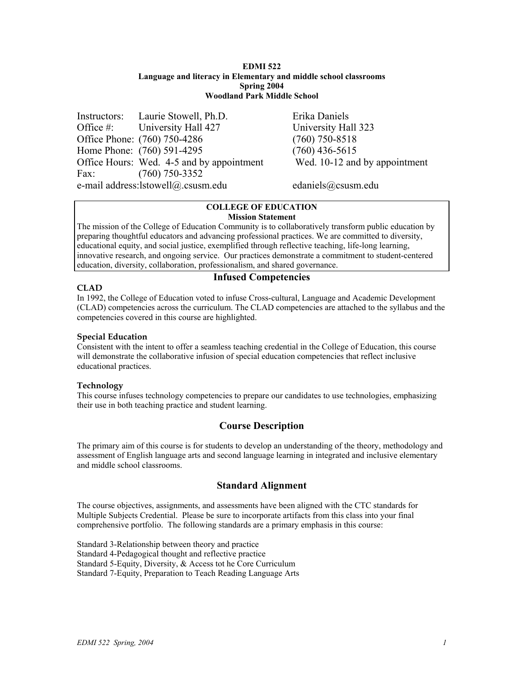### **EDMI 522 Language and literacy in Elementary and middle school classrooms Spring 2004 Woodland Park Middle School**

Instructors: Laurie Stowell, Ph.D. Erika Daniels Office #: University Hall 427 University Hall 323 Office Phone: (760) 750-4286 (760) 750-8518 Home Phone: (760) 591-4295 (760) 436-5615 Office Hours: Wed. 4-5 and by appointment Wed. 10-12 and by appointment Fax: (760) 750-3352 e-mail address:lstowell@.csusm.edu edaniels@csusm.edu

### **COLLEGE OF EDUCATION Mission Statement**

The mission of the College of Education Community is to collaboratively transform public education by preparing thoughtful educators and advancing professional practices. We are committed to diversity, educational equity, and social justice, exemplified through reflective teaching, life-long learning, innovative research, and ongoing service. Our practices demonstrate a commitment to student-centered education, diversity, collaboration, professionalism, and shared governance.

# **CLAD**

# **Infused Competencies**

In 1992, the College of Education voted to infuse Cross-cultural, Language and Academic Development (CLAD) competencies across the curriculum. The CLAD competencies are attached to the syllabus and the competencies covered in this course are highlighted.

## **Special Education**

Consistent with the intent to offer a seamless teaching credential in the College of Education, this course will demonstrate the collaborative infusion of special education competencies that reflect inclusive educational practices.

## **Technology**

This course infuses technology competencies to prepare our candidates to use technologies, emphasizing their use in both teaching practice and student learning.

# **Course Description**

The primary aim of this course is for students to develop an understanding of the theory, methodology and assessment of English language arts and second language learning in integrated and inclusive elementary and middle school classrooms.

# **Standard Alignment**

The course objectives, assignments, and assessments have been aligned with the CTC standards for Multiple Subjects Credential. Please be sure to incorporate artifacts from this class into your final comprehensive portfolio. The following standards are a primary emphasis in this course:

Standard 3-Relationship between theory and practice Standard 4-Pedagogical thought and reflective practice Standard 5-Equity, Diversity, & Access tot he Core Curriculum Standard 7-Equity, Preparation to Teach Reading Language Arts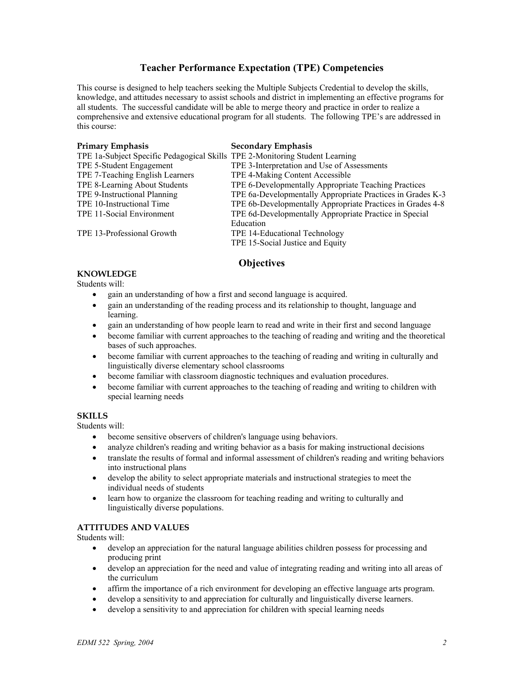# **Teacher Performance Expectation (TPE) Competencies**

This course is designed to help teachers seeking the Multiple Subjects Credential to develop the skills, knowledge, and attitudes necessary to assist schools and district in implementing an effective programs for all students. The successful candidate will be able to merge theory and practice in order to realize a comprehensive and extensive educational program for all students. The following TPE's are addressed in this course:

| <b>Primary Emphasis</b>                                                      | <b>Secondary Emphasis</b>                                  |
|------------------------------------------------------------------------------|------------------------------------------------------------|
| TPE 1a-Subject Specific Pedagogical Skills TPE 2-Monitoring Student Learning |                                                            |
| TPE 5-Student Engagement                                                     | TPE 3-Interpretation and Use of Assessments                |
| TPE 7-Teaching English Learners                                              | TPE 4-Making Content Accessible                            |
| TPE 8-Learning About Students                                                | TPE 6-Developmentally Appropriate Teaching Practices       |
| TPE 9-Instructional Planning                                                 | TPE 6a-Developmentally Appropriate Practices in Grades K-3 |
| TPE 10-Instructional Time                                                    | TPE 6b-Developmentally Appropriate Practices in Grades 4-8 |
| TPE 11-Social Environment                                                    | TPE 6d-Developmentally Appropriate Practice in Special     |
|                                                                              | Education                                                  |
| TPE 13-Professional Growth                                                   | TPE 14-Educational Technology                              |
|                                                                              | TPE 15-Social Justice and Equity                           |

# **Objectives**

## **KNOWLEDGE**

Students will:

- gain an understanding of how a first and second language is acquired.
- gain an understanding of the reading process and its relationship to thought, language and learning.
- gain an understanding of how people learn to read and write in their first and second language
- become familiar with current approaches to the teaching of reading and writing and the theoretical bases of such approaches.
- become familiar with current approaches to the teaching of reading and writing in culturally and linguistically diverse elementary school classrooms
- become familiar with classroom diagnostic techniques and evaluation procedures.
- become familiar with current approaches to the teaching of reading and writing to children with special learning needs

## **SKILLS**

Students will:

- become sensitive observers of children's language using behaviors.
- analyze children's reading and writing behavior as a basis for making instructional decisions
- translate the results of formal and informal assessment of children's reading and writing behaviors into instructional plans
- develop the ability to select appropriate materials and instructional strategies to meet the individual needs of students
- learn how to organize the classroom for teaching reading and writing to culturally and linguistically diverse populations.

## **ATTITUDES AND VALUES**

Students will:

- develop an appreciation for the natural language abilities children possess for processing and producing print
- develop an appreciation for the need and value of integrating reading and writing into all areas of the curriculum
- affirm the importance of a rich environment for developing an effective language arts program.
- develop a sensitivity to and appreciation for culturally and linguistically diverse learners.
- develop a sensitivity to and appreciation for children with special learning needs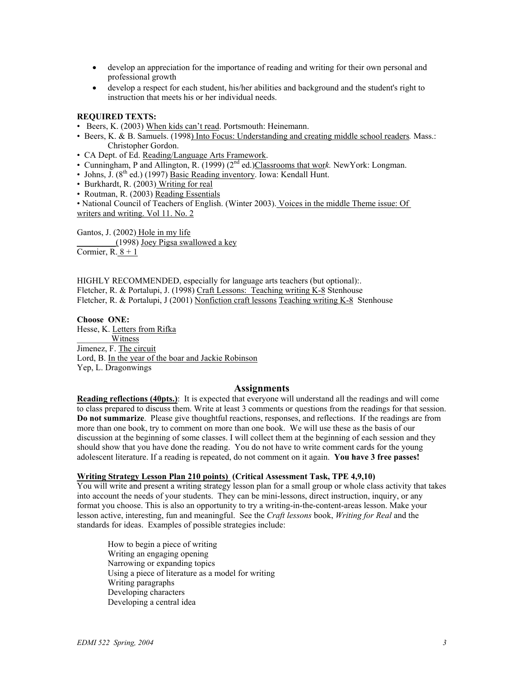- develop an appreciation for the importance of reading and writing for their own personal and professional growth
- develop a respect for each student, his/her abilities and background and the student's right to instruction that meets his or her individual needs.

#### **REQUIRED TEXTS:**

• Beers, K. (2003) When kids can't read. Portsmouth: Heinemann.

- Beers, K. & B. Samuels. (1998) Into Focus: Understanding and creating middle school readers*.* Mass.: Christopher Gordon.
- CA Dept. of Ed. Reading/Language Arts Framework.
- Cunningham, P and Allington, R. (1999) (2nd ed.)Classrooms that wor*k.* NewYork: Longman.
- Johns, J.  $(8<sup>th</sup>$  ed.) (1997) Basic Reading inventory. Iowa: Kendall Hunt.
- Burkhardt, R. (2003) Writing for real
- Routman, R. (2003) Reading Essentials

• National Council of Teachers of English. (Winter 2003). Voices in the middle Theme issue: Of writers and writing. Vol 11. No. 2

Gantos, J. (2002) Hole in my life \_\_\_\_\_\_\_\_\_(1998) Joey Pigsa swallowed a key Cormier,  $R.\underline{8+1}$ 

HIGHLY RECOMMENDED, especially for language arts teachers (but optional):. Fletcher, R. & Portalupi, J. (1998) Craft Lessons: Teaching writing K-8 Stenhouse Fletcher, R. & Portalupi, J (2001) Nonfiction craft lessons Teaching writing K-8 Stenhouse

**Choose ONE:**  Hesse, K. Letters from Rifka \_\_\_\_\_\_\_\_Witness Jimenez, F. The circuit Lord, B. In the year of the boar and Jackie Robinson Yep, L. Dragonwings

#### **Assignments**

**Reading reflections (40pts.)**: It is expected that everyone will understand all the readings and will come to class prepared to discuss them. Write at least 3 comments or questions from the readings for that session. **Do not summarize**. Please give thoughtful reactions, responses, and reflections. If the readings are from more than one book, try to comment on more than one book. We will use these as the basis of our discussion at the beginning of some classes. I will collect them at the beginning of each session and they should show that you have done the reading. You do not have to write comment cards for the young adolescent literature. If a reading is repeated, do not comment on it again. **You have 3 free passes!** 

#### **Writing Strategy Lesson Plan 210 points) (Critical Assessment Task, TPE 4,9,10)**

You will write and present a writing strategy lesson plan for a small group or whole class activity that takes into account the needs of your students. They can be mini-lessons, direct instruction, inquiry, or any format you choose. This is also an opportunity to try a writing-in-the-content-areas lesson. Make your lesson active, interesting, fun and meaningful. See the *Craft lessons* book, *Writing for Real* and the standards for ideas. Examples of possible strategies include:

How to begin a piece of writing Writing an engaging opening Narrowing or expanding topics Using a piece of literature as a model for writing Writing paragraphs Developing characters Developing a central idea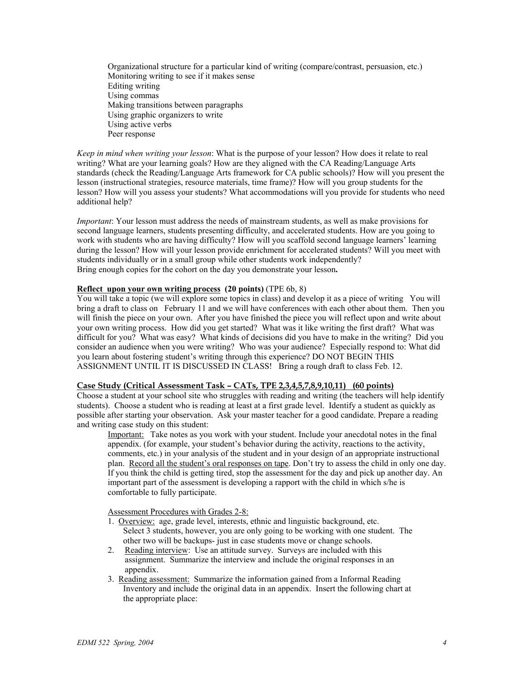Organizational structure for a particular kind of writing (compare/contrast, persuasion, etc.) Monitoring writing to see if it makes sense Editing writing Using commas Making transitions between paragraphs Using graphic organizers to write Using active verbs Peer response

*Keep in mind when writing your lesson*: What is the purpose of your lesson? How does it relate to real writing? What are your learning goals? How are they aligned with the CA Reading/Language Arts standards (check the Reading/Language Arts framework for CA public schools)? How will you present the lesson (instructional strategies, resource materials, time frame)? How will you group students for the lesson? How will you assess your students? What accommodations will you provide for students who need additional help?

*Important*: Your lesson must address the needs of mainstream students, as well as make provisions for second language learners, students presenting difficulty, and accelerated students. How are you going to work with students who are having difficulty? How will you scaffold second language learners' learning during the lesson? How will your lesson provide enrichment for accelerated students? Will you meet with students individually or in a small group while other students work independently? Bring enough copies for the cohort on the day you demonstrate your lesson**.** 

## **Reflect upon your own writing process (20 points)** (TPE 6b, 8)

You will take a topic (we will explore some topics in class) and develop it as a piece of writing You will bring a draft to class on February 11 and we will have conferences with each other about them. Then you will finish the piece on your own. After you have finished the piece you will reflect upon and write about your own writing process. How did you get started? What was it like writing the first draft? What was difficult for you? What was easy? What kinds of decisions did you have to make in the writing? Did you consider an audience when you were writing? Who was your audience? Especially respond to: What did you learn about fostering student's writing through this experience? DO NOT BEGIN THIS ASSIGNMENT UNTIL IT IS DISCUSSED IN CLASS! Bring a rough draft to class Feb. 12.

## **Case Study (Critical Assessment Task – CATs, TPE 2,3,4,5,7,8,9,10,11) (60 points)**

Choose a student at your school site who struggles with reading and writing (the teachers will help identify students). Choose a student who is reading at least at a first grade level. Identify a student as quickly as possible after starting your observation. Ask your master teacher for a good candidate. Prepare a reading and writing case study on this student:

Important: Take notes as you work with your student. Include your anecdotal notes in the final appendix. (for example, your student's behavior during the activity, reactions to the activity, comments, etc.) in your analysis of the student and in your design of an appropriate instructional plan. Record all the student's oral responses on tape. Don't try to assess the child in only one day. If you think the child is getting tired, stop the assessment for the day and pick up another day. An important part of the assessment is developing a rapport with the child in which s/he is comfortable to fully participate.

Assessment Procedures with Grades 2-8:

- 1. Overview: age, grade level, interests, ethnic and linguistic background, etc. Select 3 students, however, you are only going to be working with one student. The other two will be backups- just in case students move or change schools.
- 2. Reading interview: Use an attitude survey. Surveys are included with this assignment. Summarize the interview and include the original responses in an appendix.
- 3. Reading assessment: Summarize the information gained from a Informal Reading Inventory and include the original data in an appendix. Insert the following chart at the appropriate place: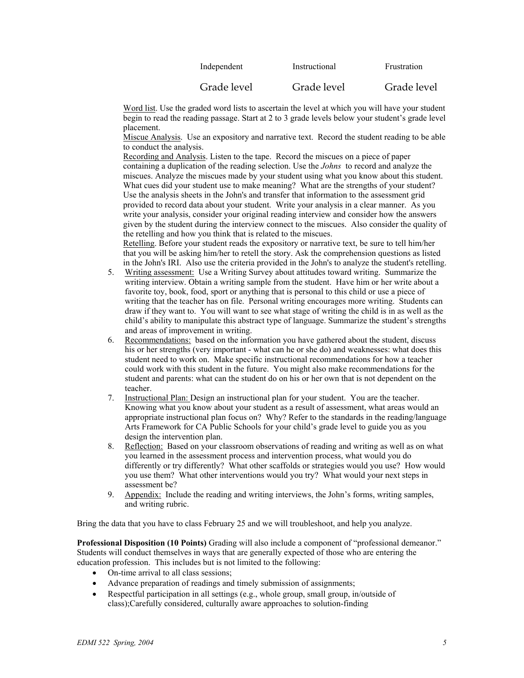| Independent | Instructional | Frustration |
|-------------|---------------|-------------|
| Grade level | Grade level   | Grade level |

Word list. Use the graded word lists to ascertain the level at which you will have your student begin to read the reading passage. Start at 2 to 3 grade levels below your student's grade level placement.

Miscue Analysis. Use an expository and narrative text. Record the student reading to be able to conduct the analysis.

Recording and Analysis. Listen to the tape. Record the miscues on a piece of paper containing a duplication of the reading selection. Use the *Johns* to record and analyze the miscues. Analyze the miscues made by your student using what you know about this student. What cues did your student use to make meaning? What are the strengths of your student? Use the analysis sheets in the John's and transfer that information to the assessment grid provided to record data about your student. Write your analysis in a clear manner. As you write your analysis, consider your original reading interview and consider how the answers given by the student during the interview connect to the miscues. Also consider the quality of the retelling and how you think that is related to the miscues.

Retelling. Before your student reads the expository or narrative text, be sure to tell him/her that you will be asking him/her to retell the story. Ask the comprehension questions as listed in the John's IRI. Also use the criteria provided in the John's to analyze the student's retelling.

- 5. Writing assessment: Use a Writing Survey about attitudes toward writing. Summarize the writing interview. Obtain a writing sample from the student. Have him or her write about a favorite toy, book, food, sport or anything that is personal to this child or use a piece of writing that the teacher has on file. Personal writing encourages more writing. Students can draw if they want to. You will want to see what stage of writing the child is in as well as the child's ability to manipulate this abstract type of language. Summarize the student's strengths and areas of improvement in writing.
- 6. Recommendations: based on the information you have gathered about the student, discuss his or her strengths (very important - what can he or she do) and weaknesses: what does this student need to work on. Make specific instructional recommendations for how a teacher could work with this student in the future. You might also make recommendations for the student and parents: what can the student do on his or her own that is not dependent on the teacher.
- 7. Instructional Plan: Design an instructional plan for your student. You are the teacher. Knowing what you know about your student as a result of assessment, what areas would an appropriate instructional plan focus on? Why? Refer to the standards in the reading/language Arts Framework for CA Public Schools for your child's grade level to guide you as you design the intervention plan.
- 8. Reflection: Based on your classroom observations of reading and writing as well as on what you learned in the assessment process and intervention process, what would you do differently or try differently? What other scaffolds or strategies would you use? How would you use them? What other interventions would you try? What would your next steps in assessment be?
- 9. Appendix: Include the reading and writing interviews, the John's forms, writing samples, and writing rubric.

Bring the data that you have to class February 25 and we will troubleshoot, and help you analyze.

**Professional Disposition (10 Points)** Grading will also include a component of "professional demeanor." Students will conduct themselves in ways that are generally expected of those who are entering the education profession. This includes but is not limited to the following:

- On-time arrival to all class sessions;
- Advance preparation of readings and timely submission of assignments;
- Respectful participation in all settings (e.g., whole group, small group, in/outside of class);Carefully considered, culturally aware approaches to solution-finding